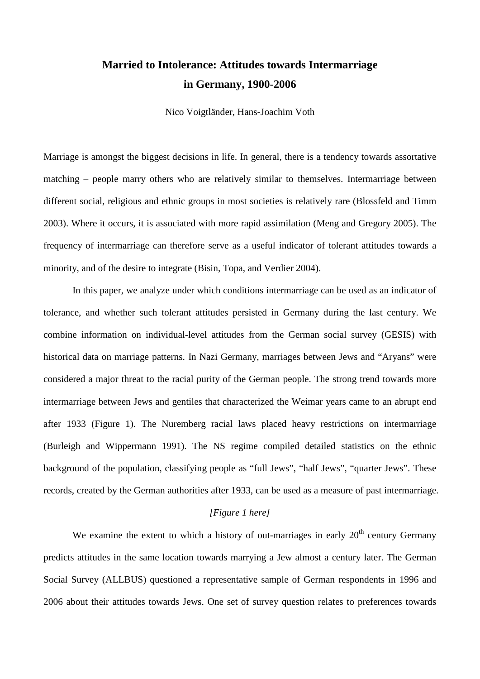# **Married to Intolerance: Attitudes towards Intermarriage in Germany, 1900-2006**

Nico Voigtländer, Hans-Joachim Voth

Marriage is amongst the biggest decisions in life. In general, there is a tendency towards assortative matching – people marry others who are relatively similar to themselves. Intermarriage between different social, religious and ethnic groups in most societies is relatively rare (Blossfeld and Timm 2003). Where it occurs, it is associated with more rapid assimilation (Meng and Gregory 2005). The frequency of intermarriage can therefore serve as a useful indicator of tolerant attitudes towards a minority, and of the desire to integrate (Bisin, Topa, and Verdier 2004).

In this paper, we analyze under which conditions intermarriage can be used as an indicator of tolerance, and whether such tolerant attitudes persisted in Germany during the last century. We combine information on individual-level attitudes from the German social survey (GESIS) with historical data on marriage patterns. In Nazi Germany, marriages between Jews and "Aryans" were considered a major threat to the racial purity of the German people. The strong trend towards more intermarriage between Jews and gentiles that characterized the Weimar years came to an abrupt end after 1933 (Figure 1). The Nuremberg racial laws placed heavy restrictions on intermarriage (Burleigh and Wippermann 1991). The NS regime compiled detailed statistics on the ethnic background of the population, classifying people as "full Jews", "half Jews", "quarter Jews". These records, created by the German authorities after 1933, can be used as a measure of past intermarriage.

# *[Figure 1 here]*

We examine the extent to which a history of out-marriages in early  $20<sup>th</sup>$  century Germany predicts attitudes in the same location towards marrying a Jew almost a century later. The German Social Survey (ALLBUS) questioned a representative sample of German respondents in 1996 and 2006 about their attitudes towards Jews. One set of survey question relates to preferences towards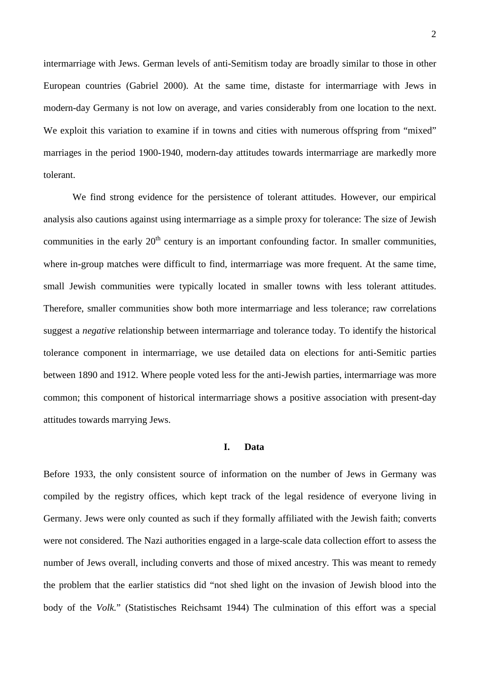intermarriage with Jews. German levels of anti-Semitism today are broadly similar to those in other European countries (Gabriel 2000). At the same time, distaste for intermarriage with Jews in modern-day Germany is not low on average, and varies considerably from one location to the next. We exploit this variation to examine if in towns and cities with numerous offspring from "mixed" marriages in the period 1900-1940, modern-day attitudes towards intermarriage are markedly more tolerant.

We find strong evidence for the persistence of tolerant attitudes. However, our empirical analysis also cautions against using intermarriage as a simple proxy for tolerance: The size of Jewish communities in the early  $20<sup>th</sup>$  century is an important confounding factor. In smaller communities, where in-group matches were difficult to find, intermarriage was more frequent. At the same time, small Jewish communities were typically located in smaller towns with less tolerant attitudes. Therefore, smaller communities show both more intermarriage and less tolerance; raw correlations suggest a *negative* relationship between intermarriage and tolerance today. To identify the historical tolerance component in intermarriage, we use detailed data on elections for anti-Semitic parties between 1890 and 1912. Where people voted less for the anti-Jewish parties, intermarriage was more common; this component of historical intermarriage shows a positive association with present-day attitudes towards marrying Jews.

# **I. Data**

Before 1933, the only consistent source of information on the number of Jews in Germany was compiled by the registry offices, which kept track of the legal residence of everyone living in Germany. Jews were only counted as such if they formally affiliated with the Jewish faith; converts were not considered. The Nazi authorities engaged in a large-scale data collection effort to assess the number of Jews overall, including converts and those of mixed ancestry. This was meant to remedy the problem that the earlier statistics did "not shed light on the invasion of Jewish blood into the body of the *Volk.*" (Statistisches Reichsamt 1944) The culmination of this effort was a special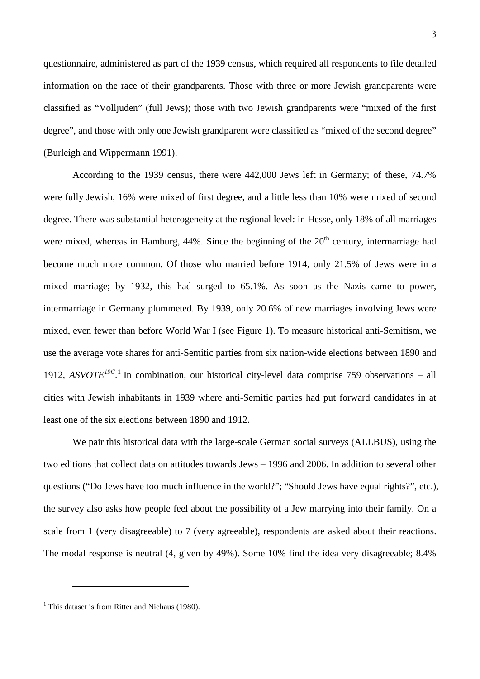questionnaire, administered as part of the 1939 census, which required all respondents to file detailed information on the race of their grandparents. Those with three or more Jewish grandparents were classified as "Volljuden" (full Jews); those with two Jewish grandparents were "mixed of the first degree", and those with only one Jewish grandparent were classified as "mixed of the second degree" (Burleigh and Wippermann 1991).

According to the 1939 census, there were 442,000 Jews left in Germany; of these, 74.7% were fully Jewish, 16% were mixed of first degree, and a little less than 10% were mixed of second degree. There was substantial heterogeneity at the regional level: in Hesse, only 18% of all marriages were mixed, whereas in Hamburg,  $44\%$ . Since the beginning of the  $20<sup>th</sup>$  century, intermarriage had become much more common. Of those who married before 1914, only 21.5% of Jews were in a mixed marriage; by 1932, this had surged to 65.1%. As soon as the Nazis came to power, intermarriage in Germany plummeted. By 1939, only 20.6% of new marriages involving Jews were mixed, even fewer than before World War I (see Figure 1). To measure historical anti-Semitism, we use the average vote shares for anti-Semitic parties from six nation-wide elections between 1890 and [1](#page-2-0)912,  $ASVOTE^{19C}$ <sup>1</sup>. In combination, our historical city-level data comprise 759 observations – all cities with Jewish inhabitants in 1939 where anti-Semitic parties had put forward candidates in at least one of the six elections between 1890 and 1912.

We pair this historical data with the large-scale German social surveys (ALLBUS), using the two editions that collect data on attitudes towards Jews – 1996 and 2006. In addition to several other questions ("Do Jews have too much influence in the world?"; "Should Jews have equal rights?", etc.), the survey also asks how people feel about the possibility of a Jew marrying into their family. On a scale from 1 (very disagreeable) to 7 (very agreeable), respondents are asked about their reactions. The modal response is neutral (4, given by 49%). Some 10% find the idea very disagreeable; 8.4%

-

<span id="page-2-0"></span> $1$  This dataset is from Ritter and Niehaus (1980).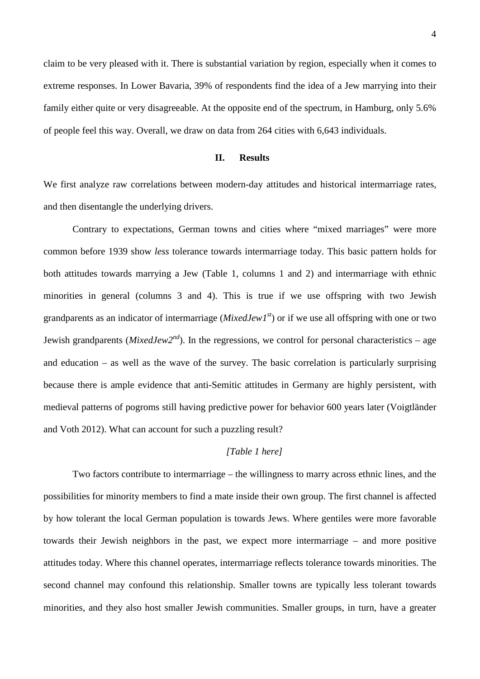claim to be very pleased with it. There is substantial variation by region, especially when it comes to extreme responses. In Lower Bavaria, 39% of respondents find the idea of a Jew marrying into their family either quite or very disagreeable. At the opposite end of the spectrum, in Hamburg, only 5.6% of people feel this way. Overall, we draw on data from 264 cities with 6,643 individuals.

# **II. Results**

We first analyze raw correlations between modern-day attitudes and historical intermarriage rates, and then disentangle the underlying drivers.

Contrary to expectations, German towns and cities where "mixed marriages" were more common before 1939 show *less* tolerance towards intermarriage today. This basic pattern holds for both attitudes towards marrying a Jew (Table 1, columns 1 and 2) and intermarriage with ethnic minorities in general (columns 3 and 4). This is true if we use offspring with two Jewish grandparents as an indicator of intermarriage (*MixedJew1st*) or if we use all offspring with one or two Jewish grandparents (*MixedJew2nd*). In the regressions, we control for personal characteristics – age and education – as well as the wave of the survey. The basic correlation is particularly surprising because there is ample evidence that anti-Semitic attitudes in Germany are highly persistent, with medieval patterns of pogroms still having predictive power for behavior 600 years later (Voigtländer and Voth 2012). What can account for such a puzzling result?

# *[Table 1 here]*

Two factors contribute to intermarriage – the willingness to marry across ethnic lines, and the possibilities for minority members to find a mate inside their own group. The first channel is affected by how tolerant the local German population is towards Jews. Where gentiles were more favorable towards their Jewish neighbors in the past, we expect more intermarriage – and more positive attitudes today. Where this channel operates, intermarriage reflects tolerance towards minorities. The second channel may confound this relationship. Smaller towns are typically less tolerant towards minorities, and they also host smaller Jewish communities. Smaller groups, in turn, have a greater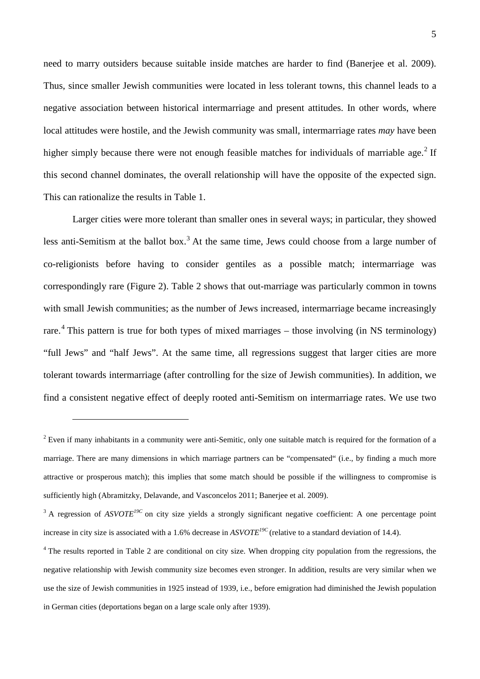need to marry outsiders because suitable inside matches are harder to find (Banerjee et al. 2009). Thus, since smaller Jewish communities were located in less tolerant towns, this channel leads to a negative association between historical intermarriage and present attitudes. In other words, where local attitudes were hostile, and the Jewish community was small, intermarriage rates *may* have been higher simply because there were not enough feasible matches for individuals of marriable age.<sup>[2](#page-4-0)</sup> If this second channel dominates, the overall relationship will have the opposite of the expected sign. This can rationalize the results in Table 1.

Larger cities were more tolerant than smaller ones in several ways; in particular, they showed less anti-Semitism at the ballot box.<sup>[3](#page-4-1)</sup> At the same time, Jews could choose from a large number of co-religionists before having to consider gentiles as a possible match; intermarriage was correspondingly rare (Figure 2). Table 2 shows that out-marriage was particularly common in towns with small Jewish communities; as the number of Jews increased, intermarriage became increasingly rare.<sup>[4](#page-4-2)</sup> This pattern is true for both types of mixed marriages – those involving (in NS terminology) "full Jews" and "half Jews". At the same time, all regressions suggest that larger cities are more tolerant towards intermarriage (after controlling for the size of Jewish communities). In addition, we find a consistent negative effect of deeply rooted anti-Semitism on intermarriage rates. We use two

<u>.</u>

<span id="page-4-0"></span> $2$  Even if many inhabitants in a community were anti-Semitic, only one suitable match is required for the formation of a marriage. There are many dimensions in which marriage partners can be "compensated" (i.e., by finding a much more attractive or prosperous match); this implies that some match should be possible if the willingness to compromise is sufficiently high (Abramitzky, Delavande, and Vasconcelos 2011; Banerjee et al. 2009).

<span id="page-4-1"></span><sup>&</sup>lt;sup>3</sup> A regression of *ASVOTE<sup>19C</sup>* on city size yields a strongly significant negative coefficient: A one percentage point increase in city size is associated with a 1.6% decrease in *ASVOTE19C* (relative to a standard deviation of 14.4).

<span id="page-4-2"></span><sup>&</sup>lt;sup>4</sup> The results reported in Table 2 are conditional on city size. When dropping city population from the regressions, the negative relationship with Jewish community size becomes even stronger. In addition, results are very similar when we use the size of Jewish communities in 1925 instead of 1939, i.e., before emigration had diminished the Jewish population in German cities (deportations began on a large scale only after 1939).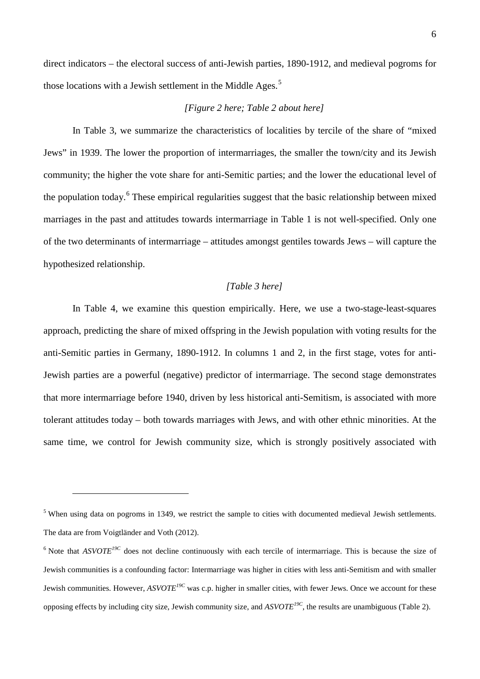direct indicators – the electoral success of anti-Jewish parties, 1890-1912, and medieval pogroms for those locations with a Jewish settlement in the Middle Ages.<sup>[5](#page-5-0)</sup>

#### *[Figure 2 here; Table 2 about here]*

In Table 3, we summarize the characteristics of localities by tercile of the share of "mixed Jews" in 1939. The lower the proportion of intermarriages, the smaller the town/city and its Jewish community; the higher the vote share for anti-Semitic parties; and the lower the educational level of the population today.<sup>[6](#page-5-1)</sup> These empirical regularities suggest that the basic relationship between mixed marriages in the past and attitudes towards intermarriage in Table 1 is not well-specified. Only one of the two determinants of intermarriage – attitudes amongst gentiles towards Jews – will capture the hypothesized relationship.

# *[Table 3 here]*

In Table 4, we examine this question empirically. Here, we use a two-stage-least-squares approach, predicting the share of mixed offspring in the Jewish population with voting results for the anti-Semitic parties in Germany, 1890-1912. In columns 1 and 2, in the first stage, votes for anti-Jewish parties are a powerful (negative) predictor of intermarriage. The second stage demonstrates that more intermarriage before 1940, driven by less historical anti-Semitism, is associated with more tolerant attitudes today – both towards marriages with Jews, and with other ethnic minorities. At the same time, we control for Jewish community size, which is strongly positively associated with

-

<span id="page-5-0"></span><sup>&</sup>lt;sup>5</sup> When using data on pogroms in 1349, we restrict the sample to cities with documented medieval Jewish settlements. The data are from Voigtländer and Voth (2012).

<span id="page-5-1"></span> $6$  Note that *ASVOTE<sup>19C</sup>* does not decline continuously with each tercile of intermarriage. This is because the size of Jewish communities is a confounding factor: Intermarriage was higher in cities with less anti-Semitism and with smaller Jewish communities. However, *ASVOTE19C* was c.p. higher in smaller cities, with fewer Jews. Once we account for these opposing effects by including city size, Jewish community size, and *ASVOTE19C*, the results are unambiguous (Table 2).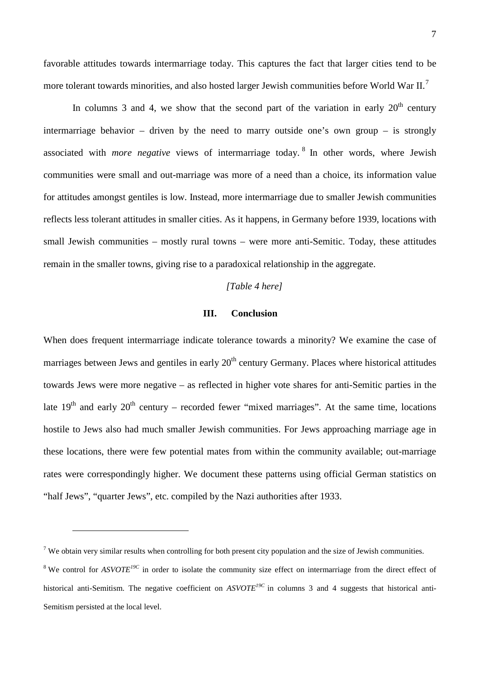favorable attitudes towards intermarriage today. This captures the fact that larger cities tend to be more tolerant towards minorities, and also hosted larger Jewish communities before World War II.<sup>[7](#page-6-0)</sup>

In columns 3 and 4, we show that the second part of the variation in early  $20<sup>th</sup>$  century intermarriage behavior – driven by the need to marry outside one's own group – is strongly associated with *more negative* views of intermarriage today. [8](#page-6-1) In other words, where Jewish communities were small and out-marriage was more of a need than a choice, its information value for attitudes amongst gentiles is low. Instead, more intermarriage due to smaller Jewish communities reflects less tolerant attitudes in smaller cities. As it happens, in Germany before 1939, locations with small Jewish communities – mostly rural towns – were more anti-Semitic. Today, these attitudes remain in the smaller towns, giving rise to a paradoxical relationship in the aggregate.

# *[Table 4 here]*

## **III. Conclusion**

When does frequent intermarriage indicate tolerance towards a minority? We examine the case of marriages between Jews and gentiles in early  $20<sup>th</sup>$  century Germany. Places where historical attitudes towards Jews were more negative – as reflected in higher vote shares for anti-Semitic parties in the late  $19<sup>th</sup>$  and early  $20<sup>th</sup>$  century – recorded fewer "mixed marriages". At the same time, locations hostile to Jews also had much smaller Jewish communities. For Jews approaching marriage age in these locations, there were few potential mates from within the community available; out-marriage rates were correspondingly higher. We document these patterns using official German statistics on "half Jews", "quarter Jews", etc. compiled by the Nazi authorities after 1933.

-

<span id="page-6-0"></span><sup>&</sup>lt;sup>7</sup> We obtain very similar results when controlling for both present city population and the size of Jewish communities.

<span id="page-6-1"></span><sup>&</sup>lt;sup>8</sup> We control for *ASVOTE<sup>19C</sup>* in order to isolate the community size effect on intermarriage from the direct effect of historical anti-Semitism. The negative coefficient on *ASVOTE<sup>19C</sup>* in columns 3 and 4 suggests that historical anti-Semitism persisted at the local level.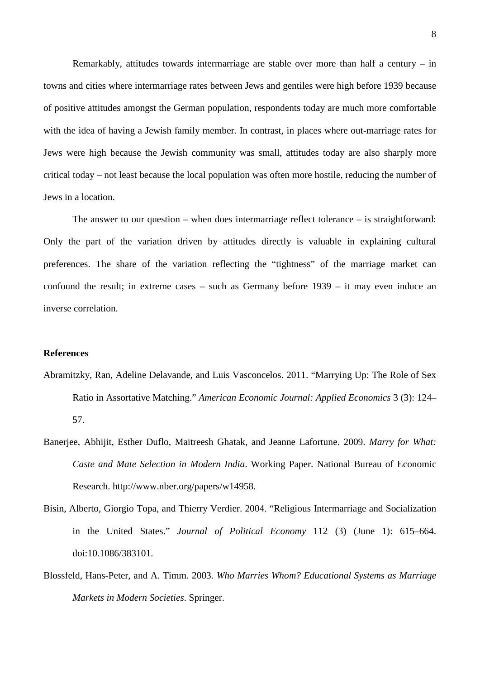Remarkably, attitudes towards intermarriage are stable over more than half a century – in towns and cities where intermarriage rates between Jews and gentiles were high before 1939 because of positive attitudes amongst the German population, respondents today are much more comfortable with the idea of having a Jewish family member. In contrast, in places where out-marriage rates for Jews were high because the Jewish community was small, attitudes today are also sharply more critical today – not least because the local population was often more hostile, reducing the number of Jews in a location.

The answer to our question – when does intermarriage reflect tolerance – is straightforward: Only the part of the variation driven by attitudes directly is valuable in explaining cultural preferences. The share of the variation reflecting the "tightness" of the marriage market can confound the result; in extreme cases – such as Germany before 1939 – it may even induce an inverse correlation.

#### **References**

- Abramitzky, Ran, Adeline Delavande, and Luis Vasconcelos. 2011. "Marrying Up: The Role of Sex Ratio in Assortative Matching." *American Economic Journal: Applied Economics* 3 (3): 124– 57.
- Banerjee, Abhijit, Esther Duflo, Maitreesh Ghatak, and Jeanne Lafortune. 2009. *Marry for What: Caste and Mate Selection in Modern India*. Working Paper. National Bureau of Economic Research. http://www.nber.org/papers/w14958.
- Bisin, Alberto, Giorgio Topa, and Thierry Verdier. 2004. "Religious Intermarriage and Socialization in the United States." *Journal of Political Economy* 112 (3) (June 1): 615–664. doi:10.1086/383101.
- Blossfeld, Hans-Peter, and A. Timm. 2003. *Who Marries Whom? Educational Systems as Marriage Markets in Modern Societies*. Springer.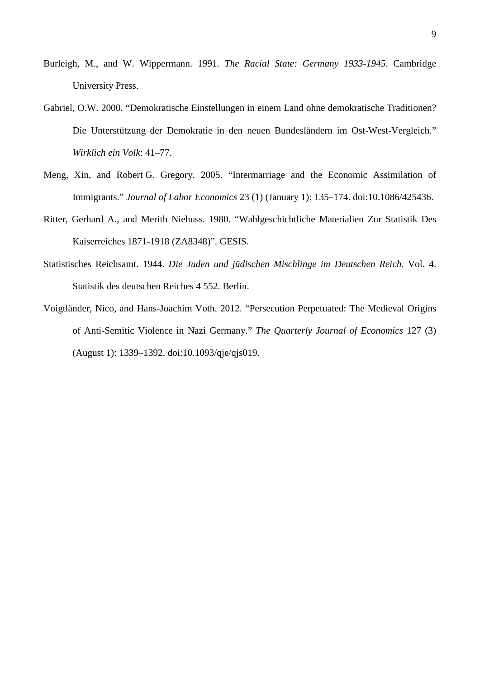- Burleigh, M., and W. Wippermann. 1991. *The Racial State: Germany 1933-1945*. Cambridge University Press.
- Gabriel, O.W. 2000. "Demokratische Einstellungen in einem Land ohne demokratische Traditionen? Die Unterstützung der Demokratie in den neuen Bundesländern im Ost-West-Vergleich." *Wirklich ein Volk*: 41–77.
- Meng, Xin, and Robert G. Gregory. 2005. "Intermarriage and the Economic Assimilation of Immigrants." *Journal of Labor Economics* 23 (1) (January 1): 135–174. doi:10.1086/425436.
- Ritter, Gerhard A., and Merith Niehuss. 1980. "Wahlgeschichtliche Materialien Zur Statistik Des Kaiserreiches 1871-1918 (ZA8348)". GESIS.
- Statistisches Reichsamt. 1944. *Die Juden und jüdischen Mischlinge im Deutschen Reich.* Vol. 4. Statistik des deutschen Reiches 4 552. Berlin.
- Voigtländer, Nico, and Hans-Joachim Voth. 2012. "Persecution Perpetuated: The Medieval Origins of Anti-Semitic Violence in Nazi Germany." *The Quarterly Journal of Economics* 127 (3) (August 1): 1339–1392. doi:10.1093/qje/qjs019.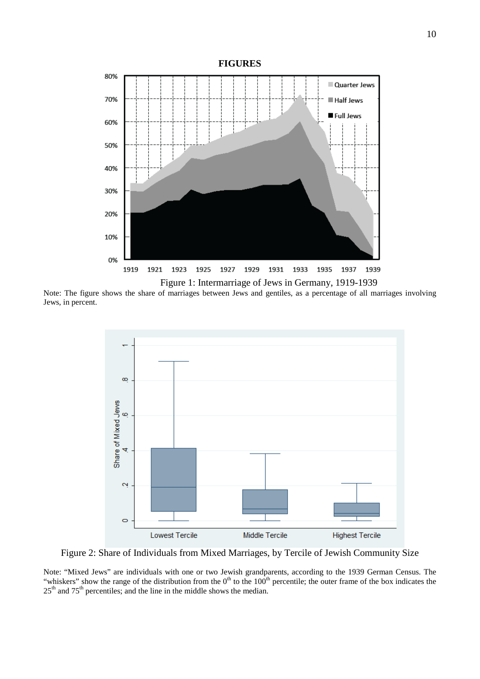

Note: The figure shows the share of marriages between Jews and gentiles, as a percentage of all marriages involving Jews, in percent.



Figure 2: Share of Individuals from Mixed Marriages, by Tercile of Jewish Community Size

Note: "Mixed Jews" are individuals with one or two Jewish grandparents, according to the 1939 German Census. The "whiskers" show the range of the distribution from the  $0<sup>th</sup>$  to the  $100<sup>th</sup>$  percentile; the outer frame of the box indicates the  $25<sup>th</sup>$  and  $75<sup>th</sup>$  percentiles; and the line in the middle shows the median.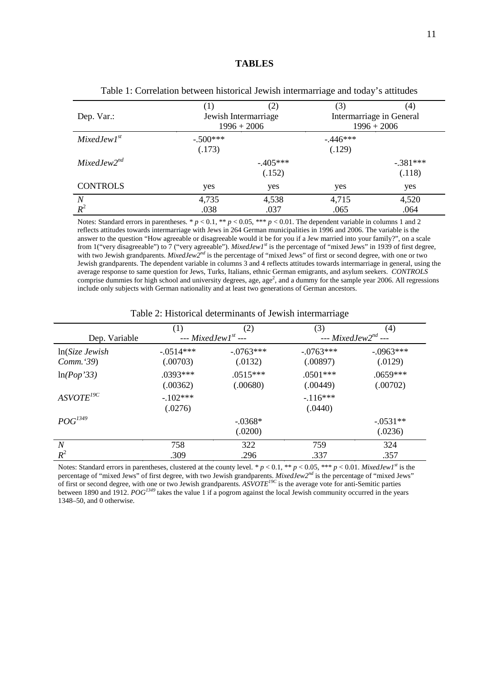|                  | (1)        | (2)                  |               | (4)                      |  |  |
|------------------|------------|----------------------|---------------|--------------------------|--|--|
| Dep. Var.:       |            | Jewish Intermarriage |               | Intermarriage in General |  |  |
|                  |            | $1996 + 2006$        | $1996 + 2006$ |                          |  |  |
| $MixedJew1^{st}$ | $-.500***$ |                      | $-446***$     |                          |  |  |
|                  | (.173)     |                      | (.129)        |                          |  |  |
| $MixedJew2^{nd}$ |            | $-405***$            |               | $-.381***$               |  |  |
|                  |            | (.152)               |               | (.118)                   |  |  |
| <b>CONTROLS</b>  | yes        | yes                  | yes           | yes                      |  |  |
| $\boldsymbol{N}$ | 4,735      | 4,538                | 4,715         | 4,520                    |  |  |
| $R^2$            | .038       | .037                 | .065          | .064                     |  |  |

Table 1: Correlation between historical Jewish intermarriage and today's attitudes

Notes: Standard errors in parentheses. \*  $p < 0.1$ , \*\*  $p < 0.05$ , \*\*\*  $p < 0.01$ . The dependent variable in columns 1 and 2 reflects attitudes towards intermarriage with Jews in 264 German municipalities in 1996 and 2006. The variable is the answer to the question "How agreeable or disagreeable would it be for you if a Jew married into your family?", on a scale from 1("very disagreeable") to 7 ("very agreeable"). *MixedJew1st* is the percentage of "mixed Jews" in 1939 of first degree, with two Jewish grandparents. *MixedJew2<sup>nd</sup>* is the percentage of "mixed Jews" of first or second degree, with one or two Jewish grandparents. The dependent variable in columns 3 and 4 reflects attitudes towards intermarriage in general, using the average response to same question for Jews, Turks, Italians, ethnic German emigrants, and asylum seekers. *CONTROLS* comprise dummies for high school and university degrees, age, age<sup>2</sup>, and a dummy for the sample year 2006. All regressions include only subjects with German nationality and at least two generations of German ancestors.

|                     | (1)                      | (2)                    | (3)                      | (4)                    |
|---------------------|--------------------------|------------------------|--------------------------|------------------------|
| Dep. Variable       | --- $MixedJew1^{st}$ --- |                        | --- $MixedJew2^{nd}$ --- |                        |
| $ln(Size \; Jewish$ | $-.0514***$              | $-0.0763***$           | $-.0763***$              | $-.0963***$            |
| Comm. 39)           | (.00703)                 | (.0132)                | (.00897)                 | (.0129)                |
| ln(Pop'33)          | $.0393***$<br>(.00362)   | $.0515***$<br>(.00680) | $.0501***$<br>(.00449)   | $.0659***$<br>(.00702) |
| $ASVOTE^{19C}$      | $-.102***$<br>(.0276)    |                        | $-116***$<br>(.0440)     |                        |
| $POG^{1349}$        |                          | $-0.0368*$             |                          | $-0.0531**$            |
|                     |                          | (.0200)                |                          | (.0236)                |
| $\overline{N}$      | 758                      | 322                    | 759                      | 324                    |
| $R^2$               | .309                     | .296                   | .337                     | .357                   |

Table 2: Historical determinants of Jewish intermarriage

Notes: Standard errors in parentheses, clustered at the county level. \* *p* < 0.1, \*\* *p* < 0.05, \*\*\* *p* < 0.01. *MixedJew1st* is the percentage of "mixed Jews" of first degree, with two Jewish grandparents. *MixedJew2nd* is the percentage of "mixed Jews" of first or second degree, with one or two Jewish grandparents. *ASVOTE19C* is the average vote for anti-Semitic parties between 1890 and 1912. *POG1349* takes the value 1 if a pogrom against the local Jewish community occurred in the years 1348–50, and 0 otherwise.